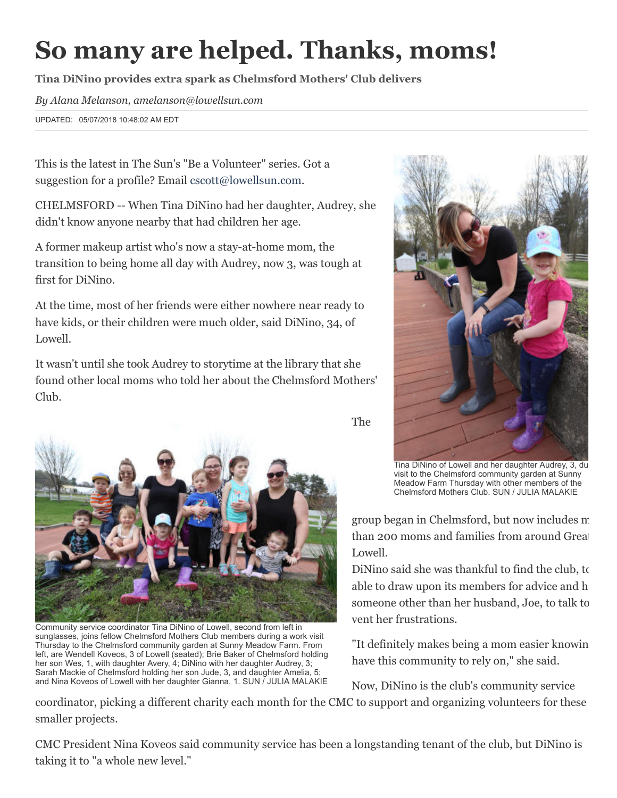## So many are helped. Thanks, moms!

Tina DiNino provides extra spark as Chelmsford Mothers' Club delivers

*By Alana Melanson, amelanson@lowellsun.com*

UPDATED: 05/07/2018 10:48:02 AM EDT

This is the latest in The Sun's "Be a Volunteer" series. Got a suggestion for a profile? Email [cscott@lowellsun.com](mailto:cscott@lowellsun.com).

CHELMSFORD -- When Tina DiNino had her daughter, Audrey, she didn't know anyone nearby that had children her age.

A former makeup artist who's now a stay-at-home mom, the transition to being home all day with Audrey, now 3, was tough at first for DiNino.

At the time, most of her friends were either nowhere near ready to have kids, or their children were much older, said DiNino, 34, of Lowell.

It wasn't until she took Audrey to storytime at the library that she found other local moms who told her about the Chelmsford Mothers' Club.



Community service coordinator Tina DiNino of Lowell, second from left in sunglasses, joins fellow Chelmsford Mothers Club members during a work visit Thursday to the Chelmsford community garden at Sunny Meadow Farm. From left, are Wendell Koveos, 3 of Lowell (seated); Brie Baker of Chelmsford holding her son Wes, 1, with daughter Avery, 4; DiNino with her daughter Audrey, 3; Sarah Mackie of Chelmsford holding her son Jude, 3, and daughter Amelia, 5; and Nina Koveos of Lowell with her daughter Gianna, 1. SUN / JULIA MALAKIE



Tina DiNino of Lowell and her daughter Audrey, 3, du visit to the Chelmsford community garden at Sunny Meadow Farm Thursday with other members of the Chelmsford Mothers Club. SUN / JULIA MALAKIE

group began in Chelmsford, but now includes m than 200 moms and families from around Great Lowell.

DiNino said she was thankful to find the club, to able to draw upon its members for advice and h someone other than her husband, Joe, to talk to vent her frustrations.

"It definitely makes being a mom easier knowin have this community to rely on," she said.

Now, DiNino is the club's community service

coordinator, picking a different charity each month for the CMC to support and organizing volunteers for these smaller projects.

The

CMC President Nina Koveos said community service has been a longstanding tenant of the club, but DiNino is taking it to "a whole new level."